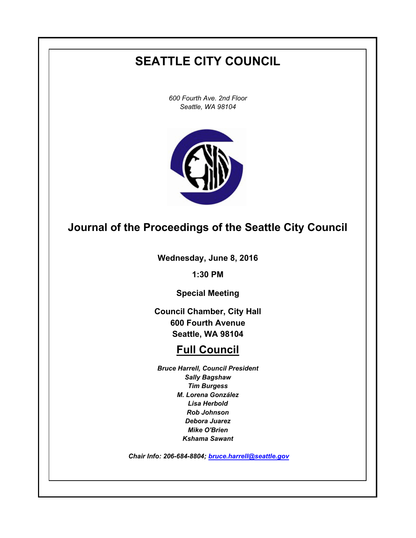# **SEATTLE CITY COUNCIL**

*600 Fourth Ave. 2nd Floor Seattle, WA 98104*



## **Journal of the Proceedings of the Seattle City Council**

**Wednesday, June 8, 2016**

**1:30 PM**

**Special Meeting**

**Council Chamber, City Hall 600 Fourth Avenue Seattle, WA 98104**

# **Full Council**

*Bruce Harrell, Council President Sally Bagshaw Tim Burgess M. Lorena González Lisa Herbold Rob Johnson Debora Juarez Mike O'Brien Kshama Sawant*

 *Chair Info: 206-684-8804; [bruce.harrell@seattle.gov](mailto:bruce.harrell@seattle.gov)*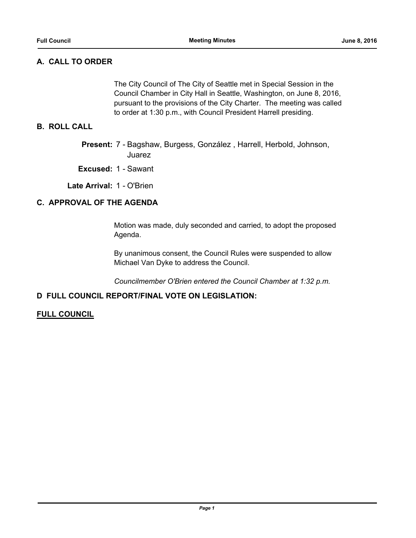### **A. CALL TO ORDER**

The City Council of The City of Seattle met in Special Session in the Council Chamber in City Hall in Seattle, Washington, on June 8, 2016, pursuant to the provisions of the City Charter. The meeting was called to order at 1:30 p.m., with Council President Harrell presiding.

#### **B. ROLL CALL**

Present: 7 - Bagshaw, Burgess, González, Harrell, Herbold, Johnson, Juarez

**Excused:** 1 - Sawant

**Late Arrival:** 1 - O'Brien

### **C. APPROVAL OF THE AGENDA**

Motion was made, duly seconded and carried, to adopt the proposed Agenda.

By unanimous consent, the Council Rules were suspended to allow Michael Van Dyke to address the Council.

*Councilmember O'Brien entered the Council Chamber at 1:32 p.m.*

#### **D FULL COUNCIL REPORT/FINAL VOTE ON LEGISLATION:**

#### **FULL COUNCIL**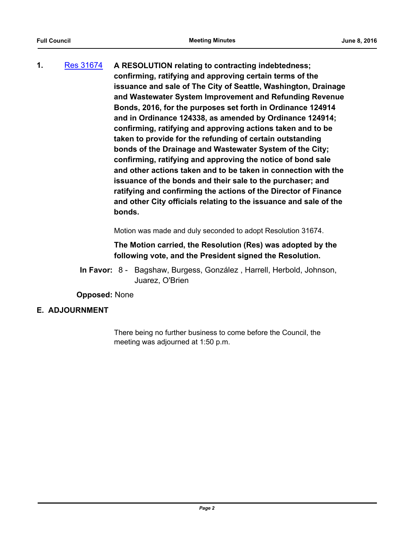**1.** [Res 31674](http://seattle.legistar.com/gateway.aspx?m=l&id=/matter.aspx?key=4131) **A RESOLUTION relating to contracting indebtedness; confirming, ratifying and approving certain terms of the issuance and sale of The City of Seattle, Washington, Drainage and Wastewater System Improvement and Refunding Revenue Bonds, 2016, for the purposes set forth in Ordinance 124914 and in Ordinance 124338, as amended by Ordinance 124914; confirming, ratifying and approving actions taken and to be taken to provide for the refunding of certain outstanding bonds of the Drainage and Wastewater System of the City; confirming, ratifying and approving the notice of bond sale and other actions taken and to be taken in connection with the issuance of the bonds and their sale to the purchaser; and ratifying and confirming the actions of the Director of Finance and other City officials relating to the issuance and sale of the bonds.**

Motion was made and duly seconded to adopt Resolution 31674.

**The Motion carried, the Resolution (Res) was adopted by the following vote, and the President signed the Resolution.**

In Favor: 8 - Bagshaw, Burgess, González, Harrell, Herbold, Johnson, Juarez, O'Brien

**Opposed:** None

#### **E. ADJOURNMENT**

There being no further business to come before the Council, the meeting was adjourned at 1:50 p.m.